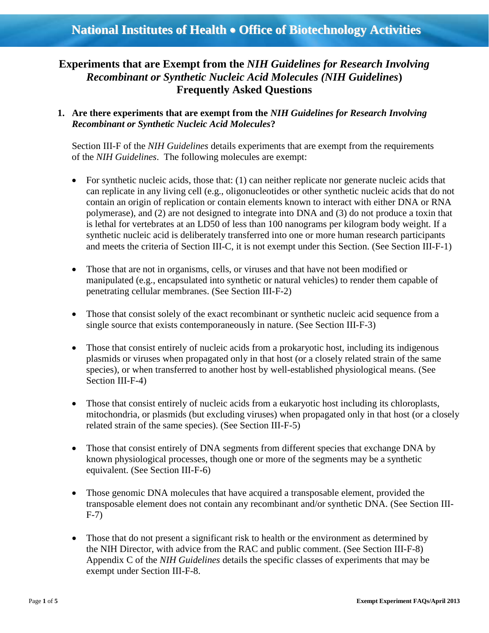# *Recombinant or Synthetic Nucleic Acid Molecules (NIH Guidelines***) Experiments that are Exempt from the** *NIH Guidelines for Research Involving* **Frequently Asked Questions**

 *Recombinant or Synthetic Nucleic Acid Molecules***? 1. Are there experiments that are exempt from the** *NIH Guidelines for Research Involving* 

 of the *NIH Guidelines*. The following molecules are exempt: Section III-F of the *NIH Guidelines* details experiments that are exempt from the requirements

- For synthetic nucleic acids, those that: (1) can neither replicate nor generate nucleic acids that can replicate in any living cell (e.g., oligonucleotides or other synthetic nucleic acids that do not contain an origin of replication or contain elements known to interact with either DNA or RNA polymerase), and (2) are not designed to integrate into DNA and (3) do not produce a toxin that is lethal for vertebrates at an LD50 of less than 100 nanograms per kilogram body weight. If a synthetic nucleic acid is deliberately transferred into one or more human research participants and meets the criteria of Section III-C, it is not exempt under this Section. (See Section III-F-1)
- Those that are not in organisms, cells, or viruses and that have not been modified or manipulated (e.g., encapsulated into synthetic or natural vehicles) to render them capable of penetrating cellular membranes. (See Section III-F-2)
- Those that consist solely of the exact recombinant or synthetic nucleic acid sequence from a single source that exists contemporaneously in nature. (See Section III-F-3)
- species), or when transferred to another host by well-established physiological means. (See • Those that consist entirely of nucleic acids from a prokaryotic host, including its indigenous plasmids or viruses when propagated only in that host (or a closely related strain of the same Section III-F-4)
- Those that consist entirely of nucleic acids from a eukaryotic host including its chloroplasts, mitochondria, or plasmids (but excluding viruses) when propagated only in that host (or a closely related strain of the same species). (See Section III-F-5)
- Those that consist entirely of DNA segments from different species that exchange DNA by known physiological processes, though one or more of the segments may be a synthetic equivalent. (See Section III-F-6)
- Those genomic DNA molecules that have acquired a transposable element, provided the transposable element does not contain any recombinant and/or synthetic DNA. (See Section III-F-7)
- the NIH Director, with advice from the RAC and public comment. (See Section III-F-8) Appendix C of the *[NIH Guidelines](http://www4.od.nih.gov/oba/RAC/guidelines/guidelines.html)* details the specific classes of experiments that may be exempt under Section III-F-8. • Those that do not present a significant risk to health or the environment as determined by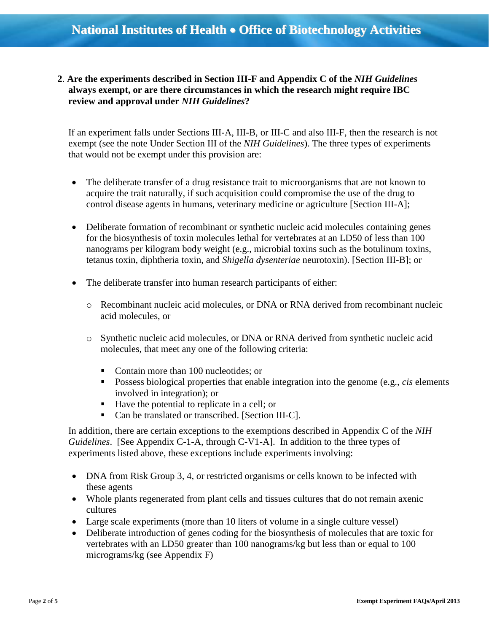**2**. **Are the experiments described in Section III-F and Appendix C of the** *NIH Guidelines*  **always exempt, or are there circumstances in which the research might require IBC review and approval under** *NIH Guidelines***?** 

 exempt (see the note Under Section III of the *NIH Guidelines*). The three types of experiments that would not be exempt under this provision are: If an experiment falls under Sections III-A, III-B, or III-C and also III-F, then the research is not

- The deliberate transfer of a drug resistance trait to microorganisms that are not known to acquire the trait naturally, if such acquisition could compromise the use of the drug to control disease agents in humans, veterinary medicine or agriculture [Section III-A];
- Deliberate formation of recombinant or synthetic nucleic acid molecules containing genes for the biosynthesis of toxin molecules lethal for vertebrates at an LD50 of less than 100 nanograms per kilogram body weight (e.g., microbial toxins such as the botulinum toxins, tetanus toxin, diphtheria toxin, and *Shigella dysenteriae* neurotoxin). [Section III-B]; or
- The deliberate transfer into human research participants of either:
	- o Recombinant nucleic acid molecules, or DNA or RNA derived from recombinant nucleic acid molecules, or
	- o Synthetic nucleic acid molecules, or DNA or RNA derived from synthetic nucleic acid molecules, that meet any one of the following criteria:
		- Contain more than 100 nucleotides; or
		- Possess biological properties that enable integration into the genome (e.g., *cis* elements involved in integration); or
		- Have the potential to replicate in a cell; or
		- Can be translated or transcribed. [Section III-C].

In addition, there are certain exceptions to the exemptions described in Appendix C of the *NIH Guidelines*. [See Appendix C-1-A, through C-V1-A]. In addition to the three types of experiments listed above, these exceptions include experiments involving:

- DNA from Risk Group 3, 4, or restricted organisms or cells known to be infected with these agents
- Whole plants regenerated from plant cells and tissues cultures that do not remain axenic cultures
- Large scale experiments (more than 10 liters of volume in a single culture vessel)
- vertebrates with an LD50 greater than 100 nanograms/kg but less than or equal to 100 micrograms/kg (see Appendix F) • Deliberate introduction of genes coding for the biosynthesis of molecules that are toxic for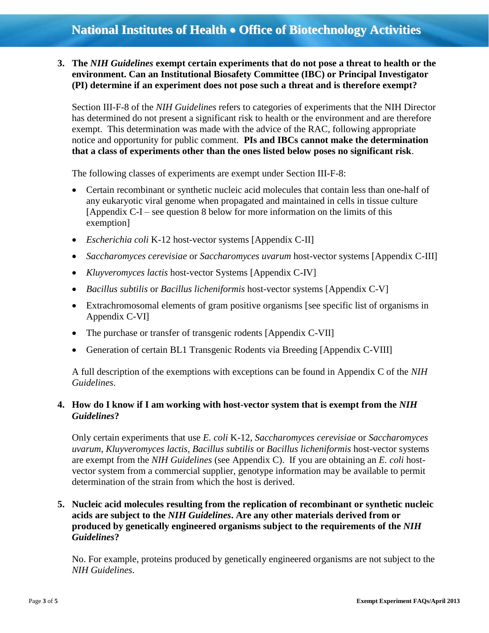**3. The** *NIH Guidelines* **exempt certain experiments that do not pose a threat to health or the environment. Can an Institutional Biosafety Committee (IBC) or Principal Investigator (PI) determine if an experiment does not pose such a threat and is therefore exempt?** 

 Section III-F-8 of the *NIH Guidelines* refers to categories of experiments that the NIH Director notice and opportunity for public comment. **PIs and IBCs cannot make the determination**  has determined do not present a significant risk to health or the environment and are therefore exempt. This determination was made with the advice of the RAC, following appropriate **that a class of experiments other than the ones listed below poses no significant risk**.

The following classes of experiments are exempt under Section III-F-8:

- any eukaryotic viral genome when propagated and maintained in cells in tissue culture [Appendix C-I – see question 8 below for more information on the limits of this Certain recombinant or synthetic nucleic acid molecules that contain less than one-half of exemption]
- *Escherichia coli* K-12 host-vector systems [Appendix C-II]
- *Saccharomyces cerevisiae* or *Saccharomyces uvarum* host-vector systems [Appendix C-III]
- *Kluyveromyces lactis* host-vector Systems [Appendix C-IV]
- *Bacillus subtilis* or *Bacillus licheniformis* host-vector systems [Appendix C-V]
- Appendix C-VI] Extrachromosomal elements of gram positive organisms [see specific list of organisms in
- The purchase or transfer of transgenic rodents [Appendix C-VII]
- Generation of certain BL1 Transgenic Rodents via Breeding [Appendix C-VIII]

A full description of the exemptions with exceptions can be found in Appendix C of the *NIH Guidelines*.

#### **4. How do I know if I am working with host-vector system that is exempt from the** *NIH Guidelines***?**

 Only certain experiments that use *E. coli* K-12, *Saccharomyces cerevisiae* or *Saccharomyces uvarum*, *Kluyveromyces lactis, Bacillus subtilis* or *Bacillus licheniformis* host-vector systems are exempt from the *NIH Guidelines* (see Appendix C). If you are obtaining an *E. coli* host- vector system from a commercial supplier, genotype information may be available to permit determination of the strain from which the host is derived.

# **5. Nucleic acid molecules resulting from the replication of recombinant or synthetic nucleic acids are subject to the** *NIH Guidelines***. Are any other materials derived from or produced by genetically engineered organisms subject to the requirements of the** *NIH Guidelines***?**

 No. For example, proteins produced by genetically engineered organisms are not subject to the *NIH Guidelines*.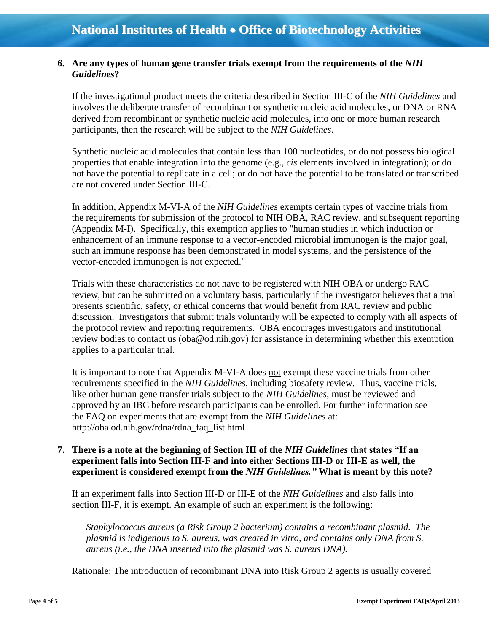#### **6. Are any types of human gene transfer trials exempt from the requirements of the** *NIH Guidelines***?**

 If the investigational product meets the criteria described in Section III-C of the *NIH Guidelines* and derived from recombinant or synthetic nucleic acid molecules, into one or more human research involves the deliberate transfer of recombinant or synthetic nucleic acid molecules, or DNA or RNA participants, then the research will be subject to the *NIH Guidelines*.

 not have the potential to replicate in a cell; or do not have the potential to be translated or transcribed are not covered under Section III-C. Synthetic nucleic acid molecules that contain less than 100 nucleotides, or do not possess biological properties that enable integration into the genome (e.g., *cis* elements involved in integration); or do

 (Appendix M-I). Specifically, this exemption applies to "human studies in which induction or vector-encoded immunogen is not expected." In addition, Appendix M-VI-A of the *NIH Guidelines* exempts certain types of vaccine trials from the requirements for submission of the protocol to NIH OBA, RAC review, and subsequent reporting enhancement of an immune response to a vector-encoded microbial immunogen is the major goal, such an immune response has been demonstrated in model systems, and the persistence of the

 discussion. Investigators that submit trials voluntarily will be expected to comply with all aspects of the protocol review and reporting requirements. OBA encourages investigators and institutional Trials with these characteristics do not have to be registered with NIH OBA or undergo RAC review, but can be submitted on a voluntary basis, particularly if the investigator believes that a trial presents scientific, safety, or ethical concerns that would benefit from RAC review and public review bodies to contact us (oba@od.nih.gov) for assistance in determining whether this exemption applies to a particular trial.

It is important to note that Appendix M-VI-A does not exempt these vaccine trials from other requirements specified in the *NIH Guidelines*, including biosafety review. Thus, vaccine trials, approved by an IBC before research participants can be enrolled. For further information see the FAQ on experiments that are exempt from the *NIH Guidelines* at: http://oba.od.nih.gov/rdna/rdna\_faq\_list.html like other human gene transfer trials subject to the *NIH Guidelines*, must be reviewed and

## **7. There is a note at the beginning of Section III of the** *NIH Guidelines* **that states "If an experiment falls into Section III-F and into either Sections III-D or III-E as well, the experiment is considered exempt from the** *NIH Guidelines."* **What is meant by this note?**

 If an experiment falls into Section III-D or III-E of the *NIH Guidelines* and also falls into section III-F, it is exempt. An example of such an experiment is the following:

*Staphylococcus aureus (a Risk Group 2 bacterium) contains a recombinant plasmid. The plasmid is indigenous to S. aureus, was created in vitro, and contains only DNA from S. aureus (i.e., the DNA inserted into the plasmid was S. aureus DNA).* 

Rationale: The introduction of recombinant DNA into Risk Group 2 agents is usually covered